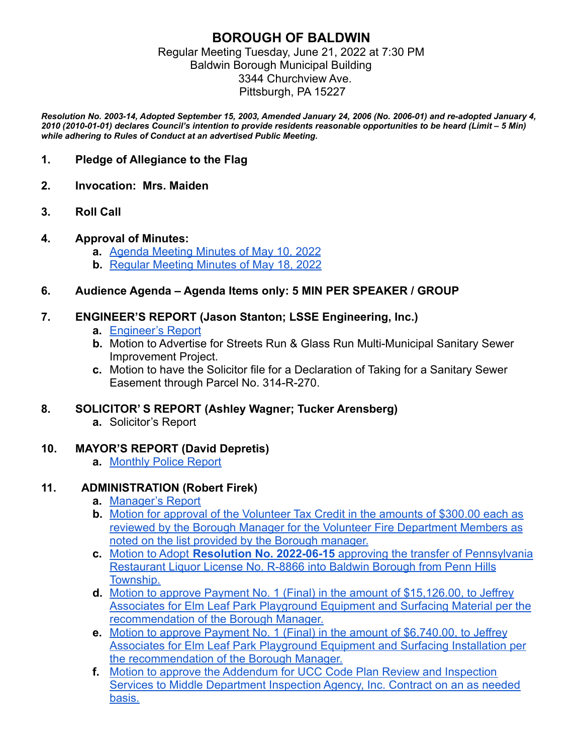### **BOROUGH OF BALDWIN** Regular Meeting Tuesday, June 21, 2022 at 7:30 PM Baldwin Borough Municipal Building 3344 Churchview Ave. Pittsburgh, PA 15227

*Resolution No. 2003-14, Adopted September 15, 2003, Amended January 24, 2006 (No. 2006-01) and re-adopted January 4, 2010 (2010-01-01) declares Council's intention to provide residents reasonable opportunities to be heard (Limit – 5 Min) while adhering to Rules of Conduct at an advertised Public Meeting.*

### **1. Pledge of Allegiance to the Flag**

- **2. Invocation: Mrs. Maiden**
- **3. Roll Call**

#### **4. Approval of Minutes:**

- **a.** Agenda Meeting Minutes of May 10, 2022
- **b.** Regular Meeting Minutes of May 18, 2022

#### **6. Audience Agenda – Agenda Items only: 5 MIN PER SPEAKER / GROUP**

#### **7. ENGINEER'S REPORT (Jason Stanton; LSSE Engineering, Inc.)**

- **a.** Engineer's Report
- **b.** Motion to Advertise for Streets Run & Glass Run Multi-Municipal Sanitary Sewer Improvement Project.
- **c.** Motion to have the Solicitor file for a Declaration of Taking for a Sanitary Sewer Easement through Parcel No. 314-R-270.

#### **8. SOLICITOR' S REPORT (Ashley Wagner; Tucker Arensberg)**

**a.** Solicitor's Report

#### **10. MAYOR'S REPORT (David Depretis)**

**a.** Monthly Police Report

#### **11. ADMINISTRATION (Robert Firek)**

- **a.** Manager's Report
- **b.** Motion for approval of the Volunteer Tax Credit in the amounts of \$300.00 each as reviewed by the Borough Manager for the Volunteer Fire Department Members as noted on the list provided by the Borough manager.
- **c.** Motion to Adopt **Resolution No. 2022-06-15** approving the transfer of Pennsylvania Restaurant Liquor License No. R-8866 into Baldwin Borough from Penn Hills Township.
- **d.** Motion to approve Payment No. 1 (Final) in the amount of \$15,126.00, to Jeffrey Associates for Elm Leaf Park Playground Equipment and Surfacing Material per the recommendation of the Borough Manager.
- **e.** Motion to approve Payment No. 1 (Final) in the amount of \$6,740.00, to Jeffrey Associates for Elm Leaf Park Playground Equipment and Surfacing Installation per the recommendation of the Borough Manager.
- **f.** Motion to approve the Addendum for UCC Code Plan Review and Inspection Services to Middle Department Inspection Agency, Inc. Contract on an as needed basis.